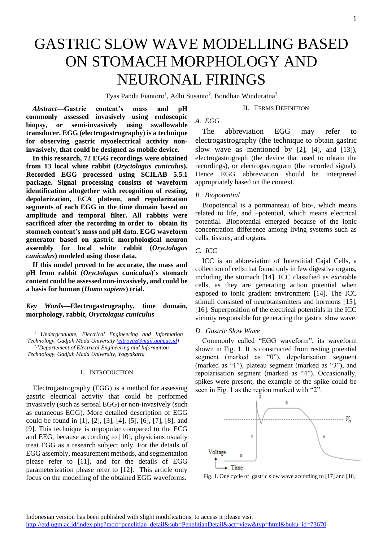# GASTRIC SLOW WAVE MODELLING BASED ON STOMACH MORPHOLOGY AND NEURONAL FIRINGS

Tyas Pandu Fiantoro<sup>1</sup>, Adhi Susanto<sup>2</sup>, Bondhan Winduratna<sup>3</sup>

#### II. TERMS DEFINITION

*Abstract***—Gastric content's mass and pH commonly assessed invasively using endoscopic biopsy, or semi-invasively using swallowable transducer. EGG (electrogastrography) is a technique for observing gastric myoelectrical activity noninvasively, that could be designed as mobile device.** 

**In this research, 72 EGG recordings were obtained from 13 local white rabbit (***Oryctolagus cuniculus***). Recorded EGG processed using SCILAB 5.5.1 package***.* **Signal processing consists of waveform identification altogether with recognition of resting, depolarization, ECA plateau, and repolarization segments of each EGG in the time domain based on amplitude and temporal filter. All rabbits were sacrificed after the recording in order to obtain its stomach content's mass and pH data. EGG waveform generator based on gastric morphological neuron assembly for local white rabbit (***Oryctolagus cuniculus***) modeled using those data.**

**If this model proved to be accurate, the mass and pH from rabbit (***Oryctolagus cuniculus***)'s stomach content could be assessed non-invasively, and could be a basis for human (***Homo sapiens***) trial.**

*Key Words***—Electrogastrography, time domain, morphology, rabbit,** *Oryctolagus cuniculus*

<sup>1</sup> *Undergraduate, Electrical Engineering and Information Technology, Gadjah Mada University [\(eltroyaz@mail.ugm.ac.id\)](mailto:eltroyaz@mail.ugm.ac.id)* 2,3*Departement of Electrical Engineering and Information Technology, Gadjah Mada University, Yogyakarta*

### I. INTRODUCTION

Electrogastrography (EGG) is a method for assessing gastric electrical activity that could be performed invasively (such as serosal EGG) or non-invasively (such as cutaneous EGG). More detailed description of EGG could be found in [1], [2], [3], [4], [5], [6], [7], [8], and [9]. This technique is unpopular compared to the ECG and EEG, because according to [10], physicians usually treat EGG as a research subject only. For the details of EGG assembly, measurement methods, and segmentation please refer to [11], and for the details of EGG parameterization please refer to [12]. This article only focus on the modelling of the obtained EGG waveforms.

# *A. EGG*

The abbreviation EGG may refer to electrogastrography (the technique to obtain gastric slow wave as mentioned by  $[2]$ ,  $[4]$ , and  $[13]$ ), electrogastrograph (the device that used to obtain the recordings), or electrogastrogram (the recorded signal). Hence EGG abbreviation should be interpreted appropriately based on the context.

# *B. Biopotential*

Biopotential is a portmanteau of bio-, which means related to life, and –potential, which means electrical potential. Biopotential emerged because of the ionic concentration difference among living systems such as cells, tissues, and organs.

# *C. ICC*

ICC is an abbreviation of Interstitial Cajal Cells, a collection of cells that found only in few digestive organs, including the stomach [14]. ICC classified as excitable cells, as they are generating action potential when exposed to ionic gradient environment [14]. The ICC stimuli consisted of neurotansmitters and hormons [15], [16]. Superposition of the electrical potentials in the ICC vicinity responsible for generating the gastric slow wave.

#### *D. Gastric Slow Wave*

Commonly called "EGG waveform", its waveform shown in Fig. 1. It is constructed from resting potential segment (marked as "0"), depolarisation segment (marked as "1"), plateau segment (marked as "3"), and repolarisation segment (marked as "4"). Occasionally, spikes were present, the example of the spike could be seen in Fig. 1 as the region marked with "2".



Fig. 1. One cycle of gastric slow wave according to [17] and [18]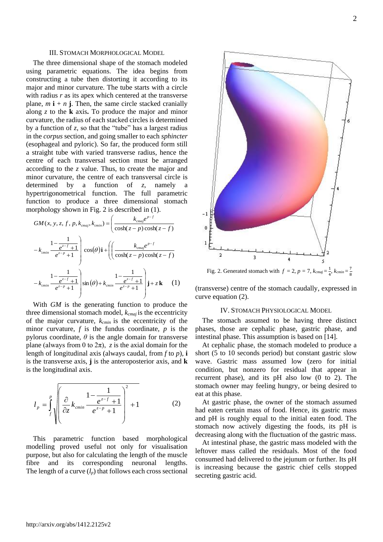#### III. STOMACH MORPHOLOGICAL MODEL

The three dimensional shape of the stomach modeled using parametric equations. The idea begins from constructing a tube then distorting it according to its major and minor curvature. The tube starts with a circle with radius *r* as its apex which centered at the transverse plane,  $m \mathbf{i} + n \mathbf{j}$ . Then, the same circle stacked cranially along *z* to the **k** axis**.** To produce the major and minor curvature, the radius of each stacked circles is determined by a function of *z*, so that the "tube" has a largest radius in the *corpus* section, and going smaller to each *sphincter*  (esophageal and pyloric). So far, the produced form still a straight tube with varied transverse radius, hence the centre of each transversal section must be arranged according to the *z* value. Thus, to create the major and minor curvature, the centre of each transversal circle is determined by a function of *z*, namely a hypertrigonometrical function. The full parametric function to produce a three dimensional stomach morphology shown in Fig. 2 is described in (1).

$$
GM(x, y, z, f, p, k_{cmaj}, k_{cmin}) = \left(\frac{k_{cmaj}e^{p-f}}{\cosh(z-p)\cosh(z-f)}\right)
$$

$$
-k_{cmin}\frac{1-\frac{1}{e^{z-f}+1}}{e^{z-p}+1}\right) \cos(\theta)\mathbf{i} + \left(\left(\frac{k_{cmaj}e^{p-f}}{\cosh(z-p)\cosh(z-f)}\right)\right)
$$

$$
-k_{cmin}\frac{1-\frac{1}{e^{z-f}+1}}{e^{z-p}+1}\right) \sin(\theta) + k_{cmin}\frac{1-\frac{1}{e^{z-f}+1}}{e^{z-p}+1}\right)\mathbf{j} + z\mathbf{k} \quad (1)
$$

With *GM* is the generating function to produce the three dimensional stomach model, *kcmaj* is the eccentricity of the major curvature, *kcmin* is the eccentricity of the minor curvature, *f* is the fundus coordinate, *p* is the pylorus coordinate,  $\theta$  is the angle domain for transverse plane (always from 0 to  $2\pi$ ), *z* is the axial domain for the length of longitudinal axis (always caudal, from *f* to *p*), **i**  is the transverse axis, **j** is the anteroposterior axis, and **k**  is the longitudinal axis.

$$
l_p = \int_{f}^{p} \sqrt{\left(\frac{\partial}{\partial z} k_{\text{cmin}} \frac{1 - \frac{1}{e^{z - f} + 1}}{e^{z - p} + 1}\right)^2 + 1}
$$
 (2)

This parametric function based morphological modelling proved useful not only for visualisation purpose, but also for calculating the length of the muscle fibre and its corresponding neuronal lengths. The length of a curve  $(l_p)$  that follows each cross sectional



(transverse) centre of the stomach caudally, expressed in curve equation (2).

#### IV. STOMACH PHYSIOLOGICAL MODEL

The stomach assumed to be having three distinct phases, those are cephalic phase, gastric phase, and intestinal phase. This assumption is based on [14].

At cephalic phase, the stomach modeled to produce a short (5 to 10 seconds period) but constant gastric slow wave. Gastric mass assumed low (zero for initial condition, but nonzero for residual that appear in recurrent phase), and its pH also low (0 to 2). The stomach owner may feeling hungry, or being desired to eat at this phase.

At gastric phase, the owner of the stomach assumed had eaten certain mass of food. Hence, its gastric mass and pH is roughly equal to the initial eaten food. The stomach now actively digesting the foods, its pH is decreasing along with the fluctuation of the gastric mass.

At intestinal phase, the gastric mass modeled with the leftover mass called the residuals. Most of the food consumed had delivered to the jejunum or further. Its pH is increasing because the gastric chief cells stopped secreting gastric acid.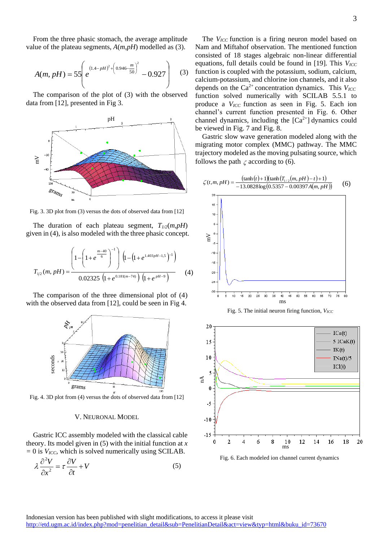From the three phasic stomach, the average amplitude value of the plateau segments, *A*(*m*,*pH*) modelled as (3).

$$
A(m, pH) = 55 \left( e^{(1.4-pH)^2 + \left(0.946 - \frac{m}{50}\right)^2} - 0.927 \right) \tag{3}
$$

The comparison of the plot of (3) with the observed data from [12], presented in Fig 3.



Fig. 3. 3D plot from (3) versus the dots of observed data from [12]

The duration of each plateau segment,  $T_{1/2}(m, pH)$ given in (4), is also modeled with the three phasic concept.

$$
T_{1/2}(m, pH) = \frac{\left(1 - \left(1 + e^{\frac{m - 40}{6}}\right)^{-1}\right) \left(1 - \left(1 + e^{1.403pH - 1.5}\right)^{-1}\right)}{0.02325 \left(1 + e^{0.181(m - 74)}\right) \left(1 + e^{pH - 9}\right)}
$$
(4)

The comparison of the three dimensional plot of (4) with the observed data from [12], could be seen in Fig 4.



Fig. 4. 3D plot from (4) versus the dots of observed data from [12]

#### V. NEURONAL MODEL

Gastric ICC assembly modeled with the classical cable theory. Its model given in (5) with the initial function at *x =* 0 is *VICC*, which is solved numerically using SCILAB.

$$
\lambda \frac{\partial^2 V}{\partial x^2} = \tau \frac{\partial V}{\partial t} + V \tag{5}
$$

The *V<sub>ICC</sub>* function is a firing neuron model based on Nam and Miftahof observation. The mentioned function consisted of 18 stages algebraic non-linear differential equations, full details could be found in [19]. This *V<sub>ICC</sub>* function is coupled with the potassium, sodium, calcium, calcium-potassium, and chlorine ion channels, and it also depends on the  $Ca^{2+}$  concentration dynamics. This  $V_{\text{ICC}}$ function solved numerically with SCILAB 5.5.1 to produce a *VICC* function as seen in Fig. 5. Each ion channel's current function presented in Fig. 6. Other channel dynamics, including the  $[Ca^{2+}]$  dynamics could be viewed in Fig. 7 and Fig. 8.

Gastric slow wave generation modeled along with the migrating motor complex (MMC) pathway. The MMC trajectory modeled as the moving pulsating source, which follows the path  $\zeta$  according to (6).



Fig. 5. The initial neuron firing function, *VICC*



Fig. 6. Each modeled ion channel current dynamics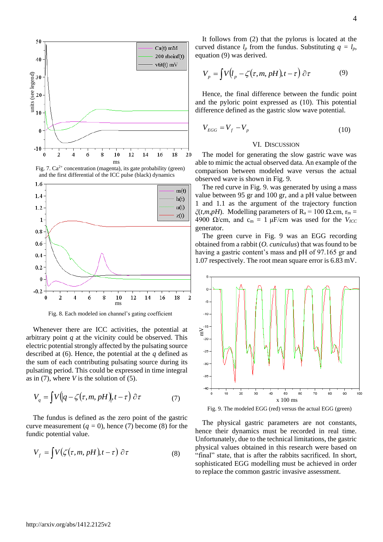





Fig. 8. Each modeled ion channel's gating coefficient

Whenever there are ICC activities, the potential at arbitrary point *q* at the vicinity could be observed. This electric potential strongly affected by the pulsating source described at (6). Hence, the potential at the *q* defined as the sum of each contributing pulsating source during its pulsating period. This could be expressed in time integral as in (7), where *V* is the solution of (5).

$$
V_q = \int V\Big(|q - \zeta(\tau, m, pH)\Big), t - \tau\Big) \,\partial \tau \tag{7}
$$

The fundus is defined as the zero point of the gastric curve measurement  $(q = 0)$ , hence (7) become (8) for the fundic potential value.

$$
V_f = \int V(\zeta(\tau, m, pH), t - \tau) \; \partial \tau \tag{8}
$$

It follows from (2) that the pylorus is located at the curved distance  $l_p$  from the fundus. Substituting  $q = l_p$ , equation (9) was derived.

$$
V_p = \int V(l_p - \zeta(\tau, m, pH), t - \tau) \, \partial \tau \tag{9}
$$

Hence, the final difference between the fundic point and the pyloric point expressed as (10). This potential difference defined as the gastric slow wave potential.

$$
V_{EGG} = V_f - V_p \tag{10}
$$

#### VI. DISCUSSION

The model for generating the slow gastric wave was able to mimic the actual observed data. An example of the comparison between modeled wave versus the actual observed wave is shown in Fig. 9.

The red curve in Fig. 9. was generated by using a mass value between 95 gr and 100 gr, and a pH value between 1 and 1.1 as the argument of the trajectory function *ξ*(*t,m,pH*). Modelling parameters of R<sub>a</sub> = 100 Ω.cm, r<sub>m</sub> = 4900  $\Omega$ /cm, and c<sub>m</sub> = 1 μF/cm was used for the *V<sub>ICC</sub>* generator.

The green curve in Fig. 9 was an EGG recording obtained from a rabbit (*O. cuniculus*) that was found to be having a gastric content's mass and pH of 97.165 gr and 1.07 respectively. The root mean square error is 6.83 mV.



Fig. 9. The modeled EGG (red) versus the actual EGG (green)

The physical gastric parameters are not constants, hence their dynamics must be recorded in real time. Unfortunately, due to the technical limitations, the gastric physical values obtained in this research were based on "final" state, that is after the rabbits sacrificed. In short, sophisticated EGG modelling must be achieved in order to replace the common gastric invasive assessment.